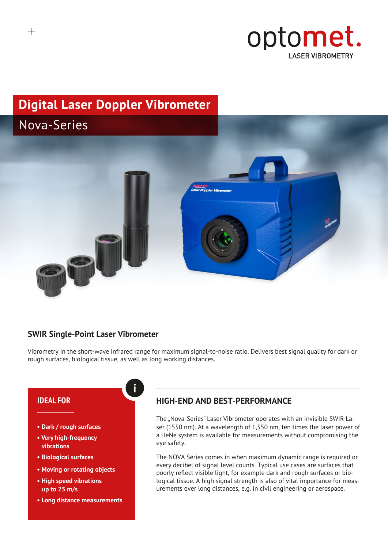

# **Digital Laser Doppler Vibrometer**



## **SWIR Single-Point Laser Vibrometer**

**i**

Vibrometry in the short-wave infrared range for maximum signal-to-noise ratio. Delivers best signal quality for dark or rough surfaces, biological tissue, as well as long working distances.

## **IDEAL FOR**

- **Dark / rough surfaces**
- **• Very high-frequency vibrations**
- **Biological surfaces**
- **Moving or rotating objects**
- **High speed vibrations up to 25 m/s**
- **Long distance measurements**

## **HIGH-END AND BEST-PERFORMANCE**

The "Nova-Series" Laser Vibrometer operates with an invisible SWIR Laser (1550 nm). At a wavelength of 1,550 nm, ten times the laser power of a HeNe system is available for measurements without compromising the eye safety.

The NOVA Series comes in when maximum dynamic range is required or every decibel of signal level counts. Typical use cases are surfaces that poorly reflect visible light, for example dark and rough surfaces or biological tissue. A high signal strength is also of vital importance for measurements over long distances, e.g. in civil engineering or aerospace.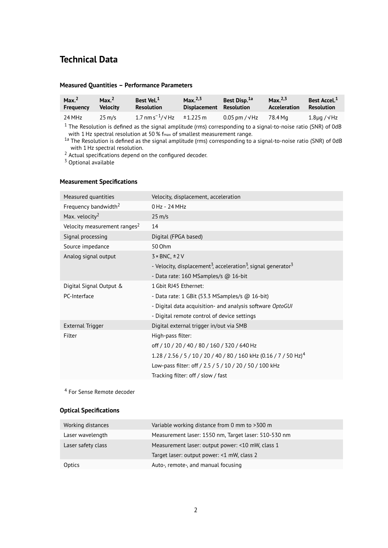## **Technical Data**

#### **Measured Quantities – Performance Parameters**

| Max. <sup>2</sup><br><b>Frequency</b> | Max. <sup>2</sup><br><b>Velocity</b> | Best Vel. <sup>1</sup><br><b>Resolution</b>        | Max. $^{2,3}$<br>Displacement Resolution | Best Disp. <sup>1a</sup> | Max. $^{2,3}$<br>Acceleration | Best Accel. <sup>1</sup><br><b>Resolution</b> |
|---------------------------------------|--------------------------------------|----------------------------------------------------|------------------------------------------|--------------------------|-------------------------------|-----------------------------------------------|
| 24 MHz                                | $25 \text{ m/s}$                     | $1.7 \text{ nm s}^{-1}/\sqrt{\text{Hz}}$ = 1.225 m |                                          | $0.05$ pm / $\sqrt{Hz}$  | 78.4 Ma                       | $1.8\mu$ g / $\sqrt{Hz}$                      |
|                                       |                                      |                                                    |                                          |                          |                               |                                               |

 $1$  The Resolution is defined as the signal amplitude (rms) corresponding to a signal-to-noise ratio (SNR) of 0dB with 1Hz spectral resolution at 50 % fmax of smallest measurement range.

<sup>1a</sup> The Resolution is defined as the signal amplitude (rms) corresponding to a signal-to-noise ratio (SNR) of 0dB with 1Hz spectral resolution.

<sup>2</sup> Actual specifications depend on the configured decoder.

<sup>3</sup> Optional available

#### **Measurement Specifications**

| Measured quantities                      | Velocity, displacement, acceleration                                                              |
|------------------------------------------|---------------------------------------------------------------------------------------------------|
| Frequency bandwidth <sup>2</sup>         | $0$ Hz - 24 MHz                                                                                   |
| Max. velocity <sup>2</sup>               | $25 \text{ m/s}$                                                                                  |
| Velocity measurement ranges <sup>2</sup> | 14                                                                                                |
| Signal processing                        | Digital (FPGA based)                                                                              |
| Source impedance                         | 50 Ohm                                                                                            |
| Analog signal output                     | $3 \times BNC, \pm 2V$                                                                            |
|                                          | - Velocity, displacement <sup>3</sup> , acceleration <sup>3</sup> , signal generator <sup>3</sup> |
|                                          | - Data rate: $160$ MSamples/s @ $16$ -bit                                                         |
| Digital Signal Output &                  | 1 Gbit RJ45 Ethernet:                                                                             |
| PC-Interface                             | - Data rate: 1 GBit (53.3 MSamples/s @ 16-bit)                                                    |
|                                          | - Digital data acquisition- and analysis software OptoGUI                                         |
|                                          | - Digital remote control of device settings                                                       |
| External Trigger                         | Digital external trigger in/out via SMB                                                           |
| Filter                                   | High-pass filter:                                                                                 |
|                                          | off / 10 / 20 / 40 / 80 / 160 / 320 / 640 Hz                                                      |
|                                          | 1.28 / 2.56 / 5 / 10 / 20 / 40 / 80 / 160 kHz (0.16 / 7 / 50 Hz) <sup>4</sup>                     |
|                                          | Low-pass filter: off / 2.5 / 5 / 10 / 20 / 50 / 100 kHz                                           |
|                                          | Tracking filter: off / slow / fast                                                                |

<sup>4</sup> For Sense Remote decoder

#### **Optical Specifications**

| Working distances  | Variable working distance from 0 mm to >300 m        |
|--------------------|------------------------------------------------------|
| Laser wavelength   | Measurement laser: 1550 nm, Target laser: 510-530 nm |
| Laser safety class | Measurement laser: output power: <10 mW, class 1     |
|                    | Target laser: output power: <1 mW, class 2           |
| Optics             | Auto-, remote-, and manual focusing                  |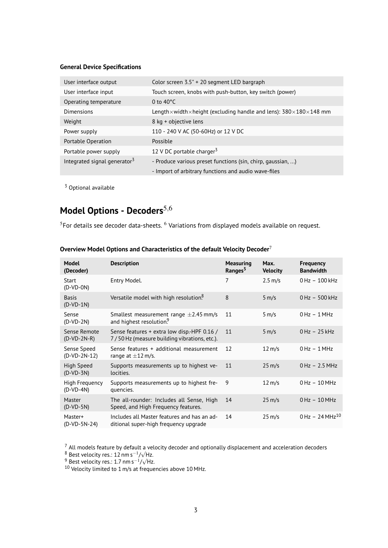## **General Device Specifications**

| User interface output                    | Color screen 3.5" + 20 segment LED bargraph                                                         |
|------------------------------------------|-----------------------------------------------------------------------------------------------------|
| User interface input                     | Touch screen, knobs with push-button, key switch (power)                                            |
| Operating temperature                    | 0 to $40^{\circ}$ C                                                                                 |
| Dimensions                               | Length $\times$ width $\times$ height (excluding handle and lens): 380 $\times$ 180 $\times$ 148 mm |
| Weight                                   | 8 kg + objective lens                                                                               |
| Power supply                             | 110 - 240 V AC (50-60Hz) or 12 V DC                                                                 |
| Portable Operation                       | Possible                                                                                            |
| Portable power supply                    | 12 V DC portable charger $3$                                                                        |
| Integrated signal generator <sup>3</sup> | - Produce various preset functions (sin, chirp, gaussian, )                                         |
|                                          | - Import of arbitrary functions and audio wave-files                                                |
|                                          |                                                                                                     |

<sup>3</sup> Optional available

# Model Options - Decoders<sup>5,6</sup>

 $5$ For details see decoder data-sheets.  $6$  Variations from displayed models available on request.

| <b>Model</b><br>(Decoder)        | <b>Description</b>                                                                          | <b>Measuring</b><br>Ranges <sup>5</sup> | Max.<br><b>Velocity</b> | <b>Frequency</b><br><b>Bandwidth</b> |
|----------------------------------|---------------------------------------------------------------------------------------------|-----------------------------------------|-------------------------|--------------------------------------|
| Start<br>$(D-VD-ON)$             | Entry Model.                                                                                | 7                                       | $2.5 \text{ m/s}$       | $0$ Hz $-100$ kHz                    |
| <b>Basis</b><br>$(D-VD-1N)$      | Versatile model with high resolution. <sup>8</sup>                                          | 8                                       | $5 \, \text{m/s}$       | $0$ Hz $-500$ kHz                    |
| Sense<br>$(D-VD-2N)$             | Smallest measurement range $\pm$ 2.45 mm/s<br>and highest resolution.                       | 11                                      | $5 \, \text{m/s}$       | $0$ Hz $-1$ MHz                      |
| Sense Remote<br>$(D-VD-2N-R)$    | Sense features + extra low disp. HPF 0.16 /<br>7/50 Hz (measure building vibrations, etc.). | 11                                      | $5 \, \text{m/s}$       | $0$ Hz $-25$ kHz                     |
| Sense Speed<br>$(D-VD-2N-12)$    | Sense features + additional measurement<br>range at $\pm 12$ m/s.                           | 12                                      | $12 \text{ m/s}$        | $0$ Hz $-1$ MHz                      |
| <b>High Speed</b><br>$(D-VD-3N)$ | Supports measurements up to highest ve-<br>locities.                                        | 11                                      | $25 \text{ m/s}$        | $0$ Hz $-2.5$ MHz                    |
| High Frequency<br>$(D-VD-4N)$    | Supports measurements up to highest fre-<br>quencies.                                       | 9                                       | $12 \text{ m/s}$        | $0$ Hz $-10$ MHz                     |
| <b>Master</b><br>$(D-VD-5N)$     | The all-rounder: Includes all Sense, High<br>Speed, and High Frequency features.            | 14                                      | $25 \text{ m/s}$        | $0$ Hz $-10$ MHz                     |
| Master+<br>(D-VD-5N-24)          | Includes all Master features and has an ad-<br>ditional super-high frequency upgrade        | 14                                      | $25 \text{ m/s}$        | $0$ Hz - 24 MHz <sup>10</sup>        |

## **Overview Model Options and Characteristics of the default Velocity Decoder**<sup>7</sup>

 $^7$  All models feature by default a velocity decoder and optionally displacement and acceleration decoders

<sup>8</sup> Best velocity res.: 12 nm s<sup>-1</sup>/ $\sqrt{Hz}$ .

 $9^9$  Best velocity res.: 1.7 nm s<sup>-1</sup>/ $\sqrt{Hz}$ .

 $^{10}$  Velocity limited to 1 m/s at frequencies above 10 MHz.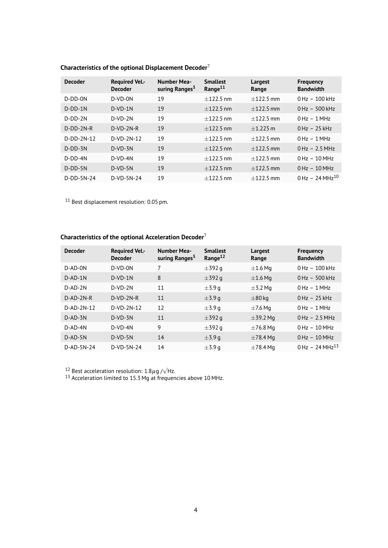| <b>Decoder</b> | <b>Required Vel.-</b><br><b>Decoder</b> | <b>Number Mea-</b><br>suring Ranges <sup>5</sup> | <b>Smallest</b><br>Range <sup>11</sup> | Largest<br>Range | <b>Frequency</b><br><b>Bandwidth</b> |
|----------------|-----------------------------------------|--------------------------------------------------|----------------------------------------|------------------|--------------------------------------|
| $D-DD-ON$      | $D-VD-ON$                               | 19                                               | $+122.5$ nm                            | $+122.5$ mm      | $0 Hz - 100 kHz$                     |
| $D-DD-1N$      | $D-VD-1N$                               | 19                                               | $+122.5$ nm                            | $+122.5$ mm      | $0$ Hz $-500$ kHz                    |
| $D-DD-2N$      | $D-VD-2N$                               | 19                                               | $+122.5$ nm                            | $+122.5$ mm      | $0$ Hz $-1$ MHz                      |
| $D-DD-2N-R$    | $D-VD-2N-R$                             | 19                                               | $+122.5$ nm                            | $+1.225$ m       | $0$ Hz $-25$ kHz                     |
| $D-DD-2N-12$   | $D-VD-2N-12$                            | 19                                               | $+122.5$ nm                            | $+122.5$ mm      | $0$ Hz $-1$ MHz                      |
| $D-DD-3N$      | $D-VD-3N$                               | 19                                               | $+122.5$ nm                            | $+122.5$ mm      | $0$ Hz $-2.5$ MHz                    |
| $D-DD-4N$      | $D-VD-4N$                               | 19                                               | $+122.5$ nm                            | $+122.5$ mm      | $0 Hz - 10 MHz$                      |
| $D-DD-5N$      | $D-VD-5N$                               | 19                                               | $+122.5$ nm                            | $+122.5$ mm      | $0 Hz - 10 MHz$                      |
| $D-DD-5N-24$   | D-VD-5N-24                              | 19                                               | $+122.5$ nm                            | $+122.5$ mm      | $0$ Hz – 24 MHz <sup>10</sup>        |

## **Characteristics of the optional Displacement Decoder**<sup>7</sup>

<sup>11</sup> Best displacement resolution: 0.05 pm.

## **Characteristics of the optional Acceleration Decoder**<sup>7</sup>

| <b>Decoder</b> | <b>Required Vel.-</b><br><b>Decoder</b> | <b>Number Mea-</b><br>suring Ranges <sup>5</sup> | <b>Smallest</b><br>Range <sup>12</sup> | Largest<br>Range | <b>Frequency</b><br><b>Bandwidth</b> |
|----------------|-----------------------------------------|--------------------------------------------------|----------------------------------------|------------------|--------------------------------------|
| D-AD-0N        | $D-VD-ON$                               | 7                                                | $\pm$ 392 q                            | $\pm 1.6$ Mg     | $0$ Hz $-100$ kHz                    |
| $D$ -AD-1N     | $D-VD-1N$                               | 8                                                | $\pm$ 392 g                            | $\pm 1.6$ Mg     | $0$ Hz $-500$ kHz                    |
| $D-AD-2N$      | $D-VD-2N$                               | 11                                               | $\pm$ 3.9 a                            | $\pm$ 3.2 Mg     | $0$ Hz $-1$ MHz                      |
| $D-AD-2N-R$    | $D-VD-2N-R$                             | 11                                               | $\pm$ 3.9 q                            | $\pm 80$ kg      | $0$ Hz $-25$ kHz                     |
| $D-AD-2N-12$   | $D-VD-2N-12$                            | 12                                               | $\pm$ 3.9 a                            | $\pm$ 7.6 Mg     | $0$ Hz $-1$ MHz                      |
| $D$ -AD-3N     | $D-VD-3N$                               | 11                                               | $\pm$ 392 g                            | $\pm$ 39.2 Mg    | $0$ Hz $-2.5$ MHz                    |
| $D-AD-4N$      | $D-VD-4N$                               | 9                                                | $\pm$ 392 a                            | $\pm$ 76.8 Mg    | $0$ Hz $-10$ MHz                     |
| $D$ -AD-5N     | $D-VD-5N$                               | 14                                               | $\pm$ 3.9 q                            | $\pm 78.4$ Mg    | $0$ Hz $-10$ MHz                     |
| D-AD-5N-24     | D-VD-5N-24                              | 14                                               | $\pm$ 3.9 a                            | $\pm 78.4$ Mg    | $0$ Hz - 24 MHz <sup>13</sup>        |

<sup>12</sup> Best acceleration resolution:  $1.8\mu$ g / $\sqrt{Hz}$ .

 $13$  Acceleration limited to 15.3 Mg at frequencies above 10 MHz.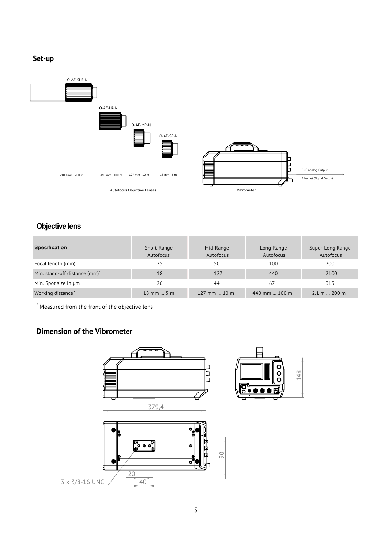## **Set-up**



## **Objective lens**

| <b>Specification</b>                      | Short-Range<br>Autofocus | Mid-Range<br>Autofocus | Long-Range<br>Autofocus | Super-Long Range<br>Autofocus |
|-------------------------------------------|--------------------------|------------------------|-------------------------|-------------------------------|
| Focal length (mm)                         | 25                       | 50                     | 100                     | 200                           |
| Min. stand-off distance (mm) <sup>*</sup> | 18                       | 127                    | 440                     | 2100                          |
| Min. Spot size in um                      | 26                       | 44                     | 67                      | 315                           |
| Working distance*                         | $18$ mm  5 m             | 127 mm $\dots$ 10 m    | 440 mm $\dots$ 100 m    | $2.1 \text{ m}$ 200 m         |

\* Measured from the front of the objective lens

## **Dimension of the Vibrometer**



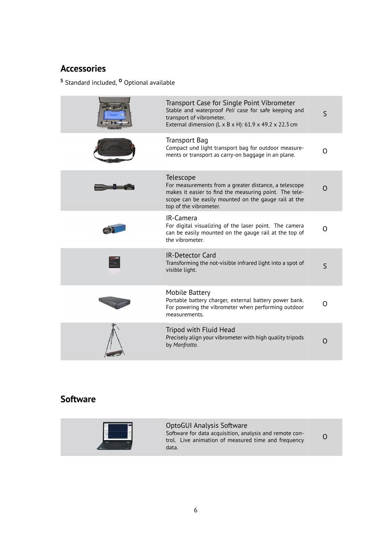## **Accessories**

**<sup>S</sup>** Standard included, **<sup>O</sup>** Optional available

| Transport Case for Single Point Vibrometer<br>Stable and waterproof Peli case for safe keeping and<br>transport of vibrometer.<br>External dimension (L x B x H): 61.9 x 49.2 x 22.3 cm                        | S        |
|----------------------------------------------------------------------------------------------------------------------------------------------------------------------------------------------------------------|----------|
| Transport Bag<br>Compact und light transport bag for outdoor measure-<br>ments or transport as carry-on baggage in an plane.                                                                                   | Ω        |
| Telescope<br>For measurements from a greater distance, a telescope<br>makes it easier to find the measuring point. The tele-<br>scope can be easily mounted on the gauge rail at the<br>top of the vibrometer. | $\Omega$ |
| IR-Camera<br>For digital visualizing of the laser point. The camera<br>can be easily mounted on the gauge rail at the top of<br>the vibrometer.                                                                | 0        |
| <b>IR-Detector Card</b><br>Transforming the not-visible infrared light into a spot of<br>visible light.                                                                                                        | S        |
| Mobile Battery<br>Portable battery charger, external battery power bank.<br>For powering the vibrometer when performing outdoor<br>measurements.                                                               | O        |
| Tripod with Fluid Head<br>Precisely align your vibrometer with high quality tripods<br>by Manfrotto.                                                                                                           | $\Omega$ |

## **Software**



OptoGUI Analysis Software Software for data acquisition, analysis and remote control. Live animation of measured time and frequency data. O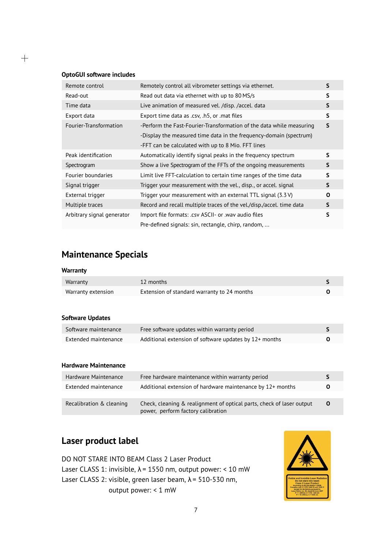#### **OptoGUI software includes**

 $+$ 

| Remote control             | Remotely control all vibrometer settings via ethernet.                 | S |
|----------------------------|------------------------------------------------------------------------|---|
| Read-out                   | Read out data via ethernet with up to 80 MS/s                          | S |
| Time data                  | Live animation of measured vel. /disp. /accel. data                    | S |
| Export data                | Export time data as .csv, .h5, or .mat files                           | S |
| Fourier-Transformation     | -Perform the Fast-Fourier-Transformation of the data while measuring   | S |
|                            | -Display the measured time data in the frequency-domain (spectrum)     |   |
|                            | -FFT can be calculated with up to 8 Mio. FFT lines                     |   |
| Peak identification        | Automatically identify signal peaks in the frequency spectrum          | S |
| Spectrogram                | Show a live Spectrogram of the FFTs of the ongoing measurements        | S |
| Fourier boundaries         | Limit live FFT-calculation to certain time ranges of the time data     | S |
| Signal trigger             | Trigger your measurement with the yel., disp., or accel. signal        | S |
| External trigger           | Trigger your measurement with an external TTL signal $(3.3 \text{ V})$ | 0 |
| Multiple traces            | Record and recall multiple traces of the vel./disp./accel. time data   | S |
| Arbitrary signal generator | Import file formats: .csv ASCII- or .wav audio files                   | S |
|                            | Pre-defined signals: sin, rectangle, chirp, random,                    |   |

# **Maintenance Specials**

#### **Warranty**

| Warranty           | 12 months                                   |  |
|--------------------|---------------------------------------------|--|
| Warranty extension | Extension of standard warranty to 24 months |  |

#### **Software Updates**

| Software maintenance | Free software updates within warranty period           |  |
|----------------------|--------------------------------------------------------|--|
| Extended maintenance | Additional extension of software updates by 12+ months |  |

#### **Hardware Maintenance**

| Hardware Maintenance     | Free hardware maintenance within warranty period                                                            |   |
|--------------------------|-------------------------------------------------------------------------------------------------------------|---|
| Extended maintenance     | Additional extension of hardware maintenance by 12+ months                                                  | O |
| Recalibration & cleaning | Check, cleaning & realignment of optical parts, check of laser output<br>power, perform factory calibration | O |

## **Laser product label**

DO NOT STARE INTO BEAM Class 2 Laser Product Laser CLASS 1: invisible, λ = 1550 nm, output power: < 10 mW Laser CLASS 2: visible, green laser beam, λ = 510-530 nm, output power: < 1 mW